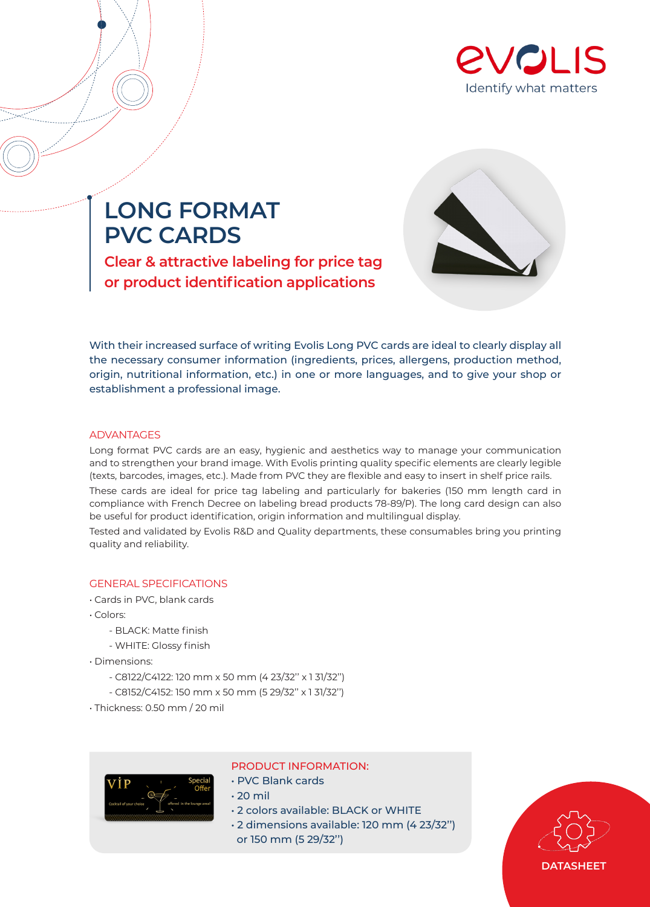

# **LONG FORMAT PVC CARDS**

**Clear & attractive labeling for price tag or product identification applications**



With their increased surface of writing Evolis Long PVC cards are ideal to clearly display all the necessary consumer information (ingredients, prices, allergens, production method, origin, nutritional information, etc.) in one or more languages, and to give your shop or establishment a professional image.

## ADVANTAGES

Long format PVC cards are an easy, hygienic and aesthetics way to manage your communication and to strengthen your brand image. With Evolis printing quality specific elements are clearly legible (texts, barcodes, images, etc.). Made from PVC they are flexible and easy to insert in shelf price rails.

These cards are ideal for price tag labeling and particularly for bakeries (150 mm length card in compliance with French Decree on labeling bread products 78-89/P). The long card design can also be useful for product identification, origin information and multilingual display.

Tested and validated by Evolis R&D and Quality departments, these consumables bring you printing quality and reliability.

# GENERAL SPECIFICATIONS

- Cards in PVC, blank cards
- Colors:
	- BLACK: Matte finish
	- WHITE: Glossy finish
- Dimensions:
	- C8122/C4122: 120 mm x 50 mm (4 23/32'' x 1 31/32'')
	- C8152/C4152: 150 mm x 50 mm (5 29/32'' x 1 31/32'')
- Thickness: 0.50 mm / 20 mil



## PRODUCT INFORMATION:

- PVC Blank cards
- 20 mil
- 2 colors available: BLACK or WHITE
- 2 dimensions available: 120 mm (4 23/32'') or 150 mm (5 29/32'')